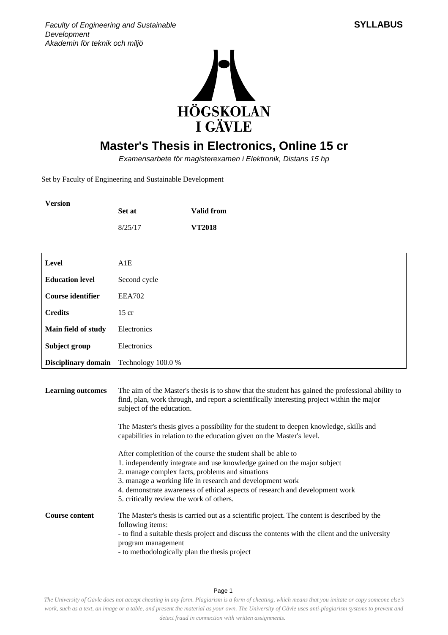



## **Master's Thesis in Electronics, Online 15 cr**

Examensarbete för magisterexamen i Elektronik, Distans 15 hp

Set by Faculty of Engineering and Sustainable Development

| <b>Version</b> | Set at  | Valid from    |
|----------------|---------|---------------|
|                | 8/25/17 | <b>VT2018</b> |

| Level                                         | A1E           |
|-----------------------------------------------|---------------|
| <b>Education level</b>                        | Second cycle  |
| <b>Course identifier</b>                      | <b>EEA702</b> |
| <b>Credits</b>                                | $15$ cr       |
| Main field of study                           | Electronics   |
| Subject group                                 | Electronics   |
| <b>Disciplinary domain</b> Technology 100.0 % |               |

**Learning outcomes** The aim of the Master's thesis is to show that the student has gained the professional ability to find, plan, work through, and report a scientifically interesting project within the major subject of the education.

> The Master's thesis gives a possibility for the student to deepen knowledge, skills and capabilities in relation to the education given on the Master's level.

After completition of the course the student shall be able to

- 1. independently integrate and use knowledge gained on the major subject
- 2. manage complex facts, problems and situations
- 3. manage a working life in research and development work
- 4. demonstrate awareness of ethical aspects of research and development work
- 5. critically review the work of others.

**Course content** The Master's thesis is carried out as a scientific project. The content is described by the following items: - to find a suitable thesis project and discuss the contents with the client and the university program management - to methodologically plan the thesis project

Page 1

*The University of Gävle does not accept cheating in any form. Plagiarism is a form of cheating, which means that you imitate or copy someone else's work, such as a text, an image or a table, and present the material as your own. The University of Gävle uses anti-plagiarism systems to prevent and detect fraud in connection with written assignments.*